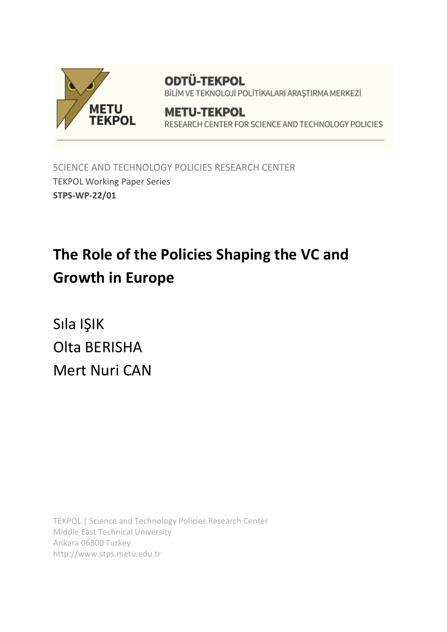

**ODTÜ-TEKPOL** BİLİM VE TEKNOLOJİ POLİTİKALARI ARAŞTIRMA MERKEZİ

## **METU-TEKPOL** RESEARCH CENTER FOR SCIENCE AND TECHNOLOGY POLICIES

SCIENCE AND TECHNOLOGY POLICIES RESEARCH CENTER TEKPOL Working Paper Series **STPS-WP-22/01**

# **The Role of the Policies Shaping the VC and Growth in Europe**

Sıla IŞIK Olta BERISHA Mert Nuri CAN

TEKPOL | Science and Technology Policies Research Center Middle East Technical University Ankara 06800 Turkey http://www.stps.metu.edu.tr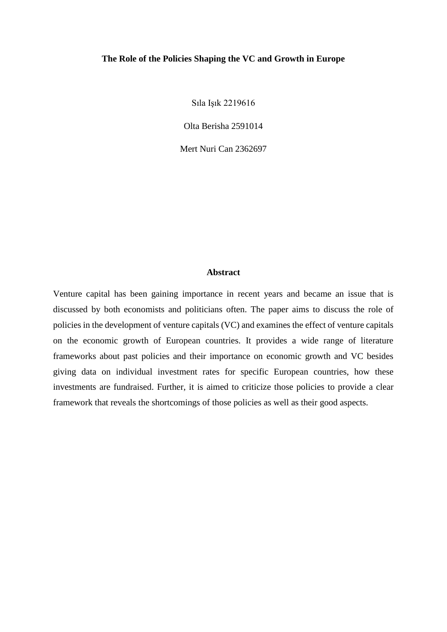## **The Role of the Policies Shaping the VC and Growth in Europe**

Sıla Işık 2219616

Olta Berisha 2591014

Mert Nuri Can 2362697

## **Abstract**

Venture capital has been gaining importance in recent years and became an issue that is discussed by both economists and politicians often. The paper aims to discuss the role of policies in the development of venture capitals (VC) and examines the effect of venture capitals on the economic growth of European countries. It provides a wide range of literature frameworks about past policies and their importance on economic growth and VC besides giving data on individual investment rates for specific European countries, how these investments are fundraised. Further, it is aimed to criticize those policies to provide a clear framework that reveals the shortcomings of those policies as well as their good aspects.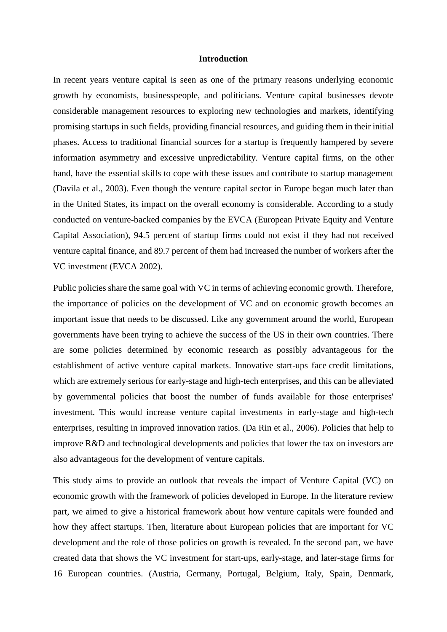#### **Introduction**

In recent years venture capital is seen as one of the primary reasons underlying economic growth by economists, businesspeople, and politicians. Venture capital businesses devote considerable management resources to exploring new technologies and markets, identifying promising startups in such fields, providing financial resources, and guiding them in their initial phases. Access to traditional financial sources for a startup is frequently hampered by severe information asymmetry and excessive unpredictability. Venture capital firms, on the other hand, have the essential skills to cope with these issues and contribute to startup management (Davila et al., 2003). Even though the venture capital sector in Europe began much later than in the United States, its impact on the overall economy is considerable. According to a study conducted on venture-backed companies by the EVCA (European Private Equity and Venture Capital Association), 94.5 percent of startup firms could not exist if they had not received venture capital finance, and 89.7 percent of them had increased the number of workers after the VC investment (EVCA 2002).

Public policies share the same goal with VC in terms of achieving economic growth. Therefore, the importance of policies on the development of VC and on economic growth becomes an important issue that needs to be discussed. Like any government around the world, European governments have been trying to achieve the success of the US in their own countries. There are some policies determined by economic research as possibly advantageous for the establishment of active venture capital markets. Innovative start-ups face credit limitations, which are extremely serious for early-stage and high-tech enterprises, and this can be alleviated by governmental policies that boost the number of funds available for those enterprises' investment. This would increase venture capital investments in early-stage and high-tech enterprises, resulting in improved innovation ratios. (Da Rin et al., 2006). Policies that help to improve R&D and technological developments and policies that lower the tax on investors are also advantageous for the development of venture capitals.

This study aims to provide an outlook that reveals the impact of Venture Capital (VC) on economic growth with the framework of policies developed in Europe. In the literature review part, we aimed to give a historical framework about how venture capitals were founded and how they affect startups. Then, literature about European policies that are important for VC development and the role of those policies on growth is revealed. In the second part, we have created data that shows the VC investment for start-ups, early-stage, and later-stage firms for 16 European countries. (Austria, Germany, Portugal, Belgium, Italy, Spain, Denmark,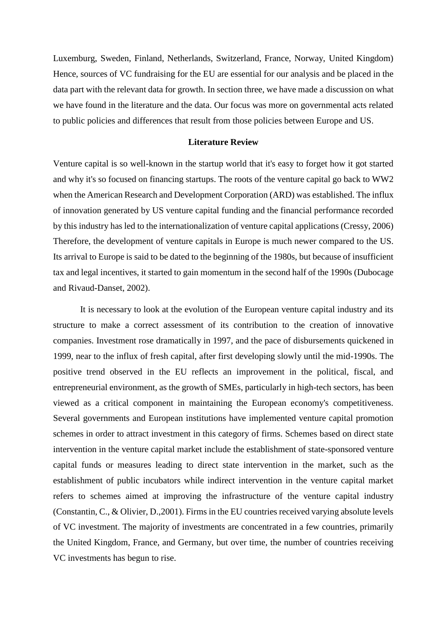Luxemburg, Sweden, Finland, Netherlands, Switzerland, France, Norway, United Kingdom) Hence, sources of VC fundraising for the EU are essential for our analysis and be placed in the data part with the relevant data for growth. In section three, we have made a discussion on what we have found in the literature and the data. Our focus was more on governmental acts related to public policies and differences that result from those policies between Europe and US.

#### **Literature Review**

Venture capital is so well-known in the startup world that it's easy to forget how it got started and why it's so focused on financing startups. The roots of the venture capital go back to WW2 when the American Research and Development Corporation (ARD) was established. The influx of innovation generated by US venture capital funding and the financial performance recorded by this industry has led to the internationalization of venture capital applications (Cressy, 2006) Therefore, the development of venture capitals in Europe is much newer compared to the US. Its arrival to Europe is said to be dated to the beginning of the 1980s, but because of insufficient tax and legal incentives, it started to gain momentum in the second half of the 1990s (Dubocage and Rivaud-Danset, 2002).

It is necessary to look at the evolution of the European venture capital industry and its structure to make a correct assessment of its contribution to the creation of innovative companies. Investment rose dramatically in 1997, and the pace of disbursements quickened in 1999, near to the influx of fresh capital, after first developing slowly until the mid-1990s. The positive trend observed in the EU reflects an improvement in the political, fiscal, and entrepreneurial environment, as the growth of SMEs, particularly in high-tech sectors, has been viewed as a critical component in maintaining the European economy's competitiveness. Several governments and European institutions have implemented venture capital promotion schemes in order to attract investment in this category of firms. Schemes based on direct state intervention in the venture capital market include the establishment of state-sponsored venture capital funds or measures leading to direct state intervention in the market, such as the establishment of public incubators while indirect intervention in the venture capital market refers to schemes aimed at improving the infrastructure of the venture capital industry (Constantin, C., & Olivier, D.,2001). Firms in the EU countries received varying absolute levels of VC investment. The majority of investments are concentrated in a few countries, primarily the United Kingdom, France, and Germany, but over time, the number of countries receiving VC investments has begun to rise.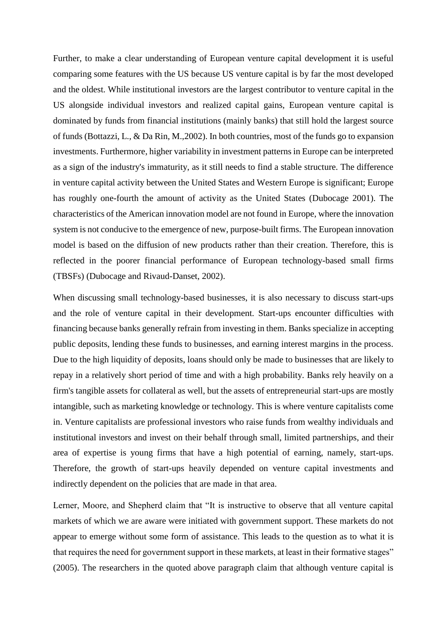Further, to make a clear understanding of European venture capital development it is useful comparing some features with the US because US venture capital is by far the most developed and the oldest. While institutional investors are the largest contributor to venture capital in the US alongside individual investors and realized capital gains, European venture capital is dominated by funds from financial institutions (mainly banks) that still hold the largest source of funds (Bottazzi, L., & Da Rin, M.,2002). In both countries, most of the funds go to expansion investments. Furthermore, higher variability in investment patterns in Europe can be interpreted as a sign of the industry's immaturity, as it still needs to find a stable structure. The difference in venture capital activity between the United States and Western Europe is significant; Europe has roughly one-fourth the amount of activity as the United States (Dubocage 2001). The characteristics of the American innovation model are not found in Europe, where the innovation system is not conducive to the emergence of new, purpose-built firms. The European innovation model is based on the diffusion of new products rather than their creation. Therefore, this is reflected in the poorer financial performance of European technology-based small firms (TBSFs) (Dubocage and Rivaud-Danset, 2002).

When discussing small technology-based businesses, it is also necessary to discuss start-ups and the role of venture capital in their development. Start-ups encounter difficulties with financing because banks generally refrain from investing in them. Banks specialize in accepting public deposits, lending these funds to businesses, and earning interest margins in the process. Due to the high liquidity of deposits, loans should only be made to businesses that are likely to repay in a relatively short period of time and with a high probability. Banks rely heavily on a firm's tangible assets for collateral as well, but the assets of entrepreneurial start-ups are mostly intangible, such as marketing knowledge or technology. This is where venture capitalists come in. Venture capitalists are professional investors who raise funds from wealthy individuals and institutional investors and invest on their behalf through small, limited partnerships, and their area of expertise is young firms that have a high potential of earning, namely, start-ups. Therefore, the growth of start-ups heavily depended on venture capital investments and indirectly dependent on the policies that are made in that area.

Lerner, Moore, and Shepherd claim that "It is instructive to observe that all venture capital markets of which we are aware were initiated with government support. These markets do not appear to emerge without some form of assistance. This leads to the question as to what it is that requires the need for government support in these markets, at least in their formative stages" (2005). The researchers in the quoted above paragraph claim that although venture capital is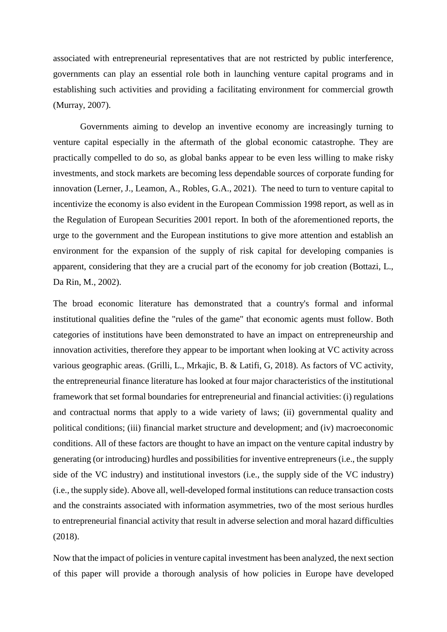associated with entrepreneurial representatives that are not restricted by public interference, governments can play an essential role both in launching venture capital programs and in establishing such activities and providing a facilitating environment for commercial growth (Murray, 2007).

Governments aiming to develop an inventive economy are increasingly turning to venture capital especially in the aftermath of the global economic catastrophe. They are practically compelled to do so, as global banks appear to be even less willing to make risky investments, and stock markets are becoming less dependable sources of corporate funding for innovation (Lerner, J., Leamon, A., Robles, G.A., 2021). The need to turn to venture capital to incentivize the economy is also evident in the European Commission 1998 report, as well as in the Regulation of European Securities 2001 report. In both of the aforementioned reports, the urge to the government and the European institutions to give more attention and establish an environment for the expansion of the supply of risk capital for developing companies is apparent, considering that they are a crucial part of the economy for job creation (Bottazi, L., Da Rin, M., 2002).

The broad economic literature has demonstrated that a country's formal and informal institutional qualities define the "rules of the game" that economic agents must follow. Both categories of institutions have been demonstrated to have an impact on entrepreneurship and innovation activities, therefore they appear to be important when looking at VC activity across various geographic areas. (Grilli, L., Mrkajic, B. & Latifi, G, 2018). As factors of VC activity, the entrepreneurial finance literature has looked at four major characteristics of the institutional framework that set formal boundaries for entrepreneurial and financial activities: (i) regulations and contractual norms that apply to a wide variety of laws; (ii) governmental quality and political conditions; (iii) financial market structure and development; and (iv) macroeconomic conditions. All of these factors are thought to have an impact on the venture capital industry by generating (or introducing) hurdles and possibilities for inventive entrepreneurs (i.e., the supply side of the VC industry) and institutional investors (i.e., the supply side of the VC industry) (i.e., the supply side). Above all, well-developed formal institutions can reduce transaction costs and the constraints associated with information asymmetries, two of the most serious hurdles to entrepreneurial financial activity that result in adverse selection and moral hazard difficulties (2018).

Now that the impact of policies in venture capital investment has been analyzed, the next section of this paper will provide a thorough analysis of how policies in Europe have developed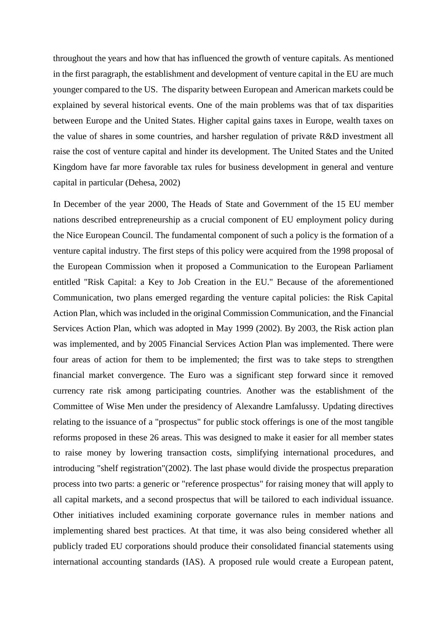throughout the years and how that has influenced the growth of venture capitals. As mentioned in the first paragraph, the establishment and development of venture capital in the EU are much younger compared to the US. The disparity between European and American markets could be explained by several historical events. One of the main problems was that of tax disparities between Europe and the United States. Higher capital gains taxes in Europe, wealth taxes on the value of shares in some countries, and harsher regulation of private R&D investment all raise the cost of venture capital and hinder its development. The United States and the United Kingdom have far more favorable tax rules for business development in general and venture capital in particular (Dehesa, 2002)

In December of the year 2000, The Heads of State and Government of the 15 EU member nations described entrepreneurship as a crucial component of EU employment policy during the Nice European Council. The fundamental component of such a policy is the formation of a venture capital industry. The first steps of this policy were acquired from the 1998 proposal of the European Commission when it proposed a Communication to the European Parliament entitled "Risk Capital: a Key to Job Creation in the EU." Because of the aforementioned Communication, two plans emerged regarding the venture capital policies: the Risk Capital Action Plan, which was included in the original Commission Communication, and the Financial Services Action Plan, which was adopted in May 1999 (2002). By 2003, the Risk action plan was implemented, and by 2005 Financial Services Action Plan was implemented. There were four areas of action for them to be implemented; the first was to take steps to strengthen financial market convergence. The Euro was a significant step forward since it removed currency rate risk among participating countries. Another was the establishment of the Committee of Wise Men under the presidency of Alexandre Lamfalussy. Updating directives relating to the issuance of a "prospectus" for public stock offerings is one of the most tangible reforms proposed in these 26 areas. This was designed to make it easier for all member states to raise money by lowering transaction costs, simplifying international procedures, and introducing "shelf registration"(2002). The last phase would divide the prospectus preparation process into two parts: a generic or "reference prospectus" for raising money that will apply to all capital markets, and a second prospectus that will be tailored to each individual issuance. Other initiatives included examining corporate governance rules in member nations and implementing shared best practices. At that time, it was also being considered whether all publicly traded EU corporations should produce their consolidated financial statements using international accounting standards (IAS). A proposed rule would create a European patent,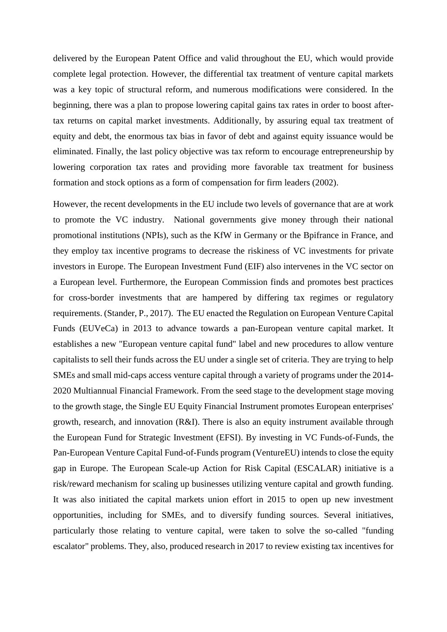delivered by the European Patent Office and valid throughout the EU, which would provide complete legal protection. However, the differential tax treatment of venture capital markets was a key topic of structural reform, and numerous modifications were considered. In the beginning, there was a plan to propose lowering capital gains tax rates in order to boost aftertax returns on capital market investments. Additionally, by assuring equal tax treatment of equity and debt, the enormous tax bias in favor of debt and against equity issuance would be eliminated. Finally, the last policy objective was tax reform to encourage entrepreneurship by lowering corporation tax rates and providing more favorable tax treatment for business formation and stock options as a form of compensation for firm leaders (2002).

However, the recent developments in the EU include two levels of governance that are at work to promote the VC industry. National governments give money through their national promotional institutions (NPIs), such as the KfW in Germany or the Bpifrance in France, and they employ tax incentive programs to decrease the riskiness of VC investments for private investors in Europe. The European Investment Fund (EIF) also intervenes in the VC sector on a European level. Furthermore, the European Commission finds and promotes best practices for cross-border investments that are hampered by differing tax regimes or regulatory requirements. (Stander, P., 2017). The EU enacted the Regulation on European Venture Capital Funds (EUVeCa) in 2013 to advance towards a pan-European venture capital market. It establishes a new "European venture capital fund" label and new procedures to allow venture capitalists to sell their funds across the EU under a single set of criteria. They are trying to help SMEs and small mid-caps access venture capital through a variety of programs under the 2014- 2020 Multiannual Financial Framework. From the seed stage to the development stage moving to the growth stage, the Single EU Equity Financial Instrument promotes European enterprises' growth, research, and innovation (R&I). There is also an equity instrument available through the European Fund for Strategic Investment (EFSI). By investing in VC Funds-of-Funds, the Pan-European Venture Capital Fund-of-Funds program (VentureEU) intends to close the equity gap in Europe. The European Scale-up Action for Risk Capital (ESCALAR) initiative is a risk/reward mechanism for scaling up businesses utilizing venture capital and growth funding. It was also initiated the capital markets union effort in 2015 to open up new investment opportunities, including for SMEs, and to diversify funding sources. Several initiatives, particularly those relating to venture capital, were taken to solve the so-called "funding escalator" problems. They, also, produced research in 2017 to review existing tax incentives for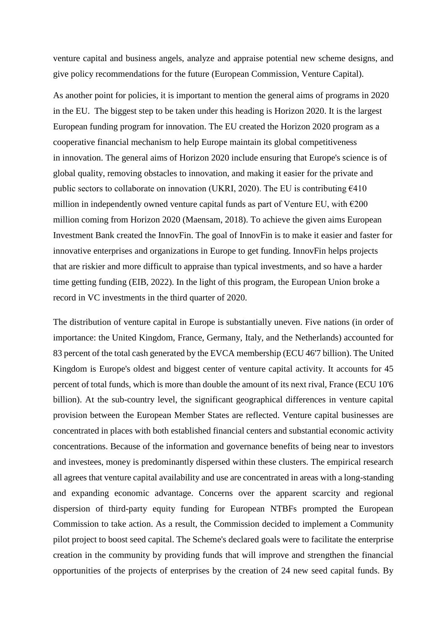venture capital and business angels, analyze and appraise potential new scheme designs, and give policy recommendations for the future (European Commission, Venture Capital).

As another point for policies, it is important to mention the general aims of programs in 2020 in the EU. The biggest step to be taken under this heading is Horizon 2020. It is the largest European funding program for innovation. The EU created the Horizon 2020 program as a cooperative financial mechanism to help Europe maintain its global competitiveness in innovation. The general aims of Horizon 2020 include ensuring that Europe's science is of global quality, removing obstacles to innovation, and making it easier for the private and public sectors to collaborate on innovation (UKRI, 2020). The EU is contributing  $6410$ million in independently owned venture capital funds as part of Venture EU, with  $\epsilon$ 200 million coming from Horizon 2020 (Maensam, 2018). To achieve the given aims European Investment Bank created the InnovFin. The goal of InnovFin is to make it easier and faster for innovative enterprises and organizations in Europe to get funding. InnovFin helps projects that are riskier and more difficult to appraise than typical investments, and so have a harder time getting funding (EIB, 2022). In the light of this program, the European Union broke a record in VC investments in the third quarter of 2020.

The distribution of venture capital in Europe is substantially uneven. Five nations (in order of importance: the United Kingdom, France, Germany, Italy, and the Netherlands) accounted for 83 percent of the total cash generated by the EVCA membership (ECU 46'7 billion). The United Kingdom is Europe's oldest and biggest center of venture capital activity. It accounts for 45 percent of total funds, which is more than double the amount of its next rival, France (ECU 10'6 billion). At the sub-country level, the significant geographical differences in venture capital provision between the European Member States are reflected. Venture capital businesses are concentrated in places with both established financial centers and substantial economic activity concentrations. Because of the information and governance benefits of being near to investors and investees, money is predominantly dispersed within these clusters. The empirical research all agrees that venture capital availability and use are concentrated in areas with a long-standing and expanding economic advantage. Concerns over the apparent scarcity and regional dispersion of third-party equity funding for European NTBFs prompted the European Commission to take action. As a result, the Commission decided to implement a Community pilot project to boost seed capital. The Scheme's declared goals were to facilitate the enterprise creation in the community by providing funds that will improve and strengthen the financial opportunities of the projects of enterprises by the creation of 24 new seed capital funds. By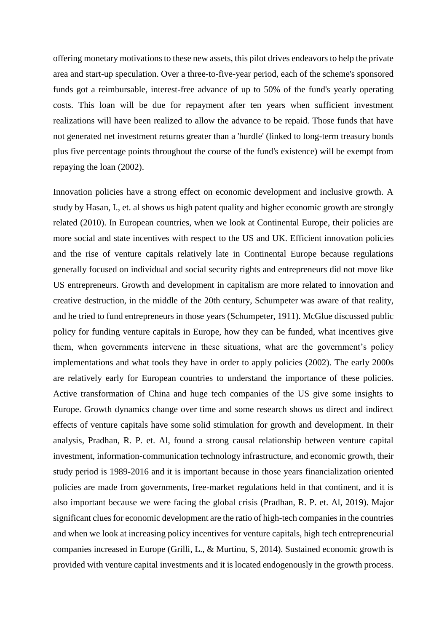offering monetary motivations to these new assets, this pilot drives endeavors to help the private area and start-up speculation. Over a three-to-five-year period, each of the scheme's sponsored funds got a reimbursable, interest-free advance of up to 50% of the fund's yearly operating costs. This loan will be due for repayment after ten years when sufficient investment realizations will have been realized to allow the advance to be repaid. Those funds that have not generated net investment returns greater than a 'hurdle' (linked to long-term treasury bonds plus five percentage points throughout the course of the fund's existence) will be exempt from repaying the loan (2002).

Innovation policies have a strong effect on economic development and inclusive growth. A study by Hasan, I., et. al shows us high patent quality and higher economic growth are strongly related (2010). In European countries, when we look at Continental Europe, their policies are more social and state incentives with respect to the US and UK. Efficient innovation policies and the rise of venture capitals relatively late in Continental Europe because regulations generally focused on individual and social security rights and entrepreneurs did not move like US entrepreneurs. Growth and development in capitalism are more related to innovation and creative destruction, in the middle of the 20th century, Schumpeter was aware of that reality, and he tried to fund entrepreneurs in those years (Schumpeter, 1911). McGlue discussed public policy for funding venture capitals in Europe, how they can be funded, what incentives give them, when governments intervene in these situations, what are the government's policy implementations and what tools they have in order to apply policies (2002). The early 2000s are relatively early for European countries to understand the importance of these policies. Active transformation of China and huge tech companies of the US give some insights to Europe. Growth dynamics change over time and some research shows us direct and indirect effects of venture capitals have some solid stimulation for growth and development. In their analysis, Pradhan, R. P. et. Al, found a strong causal relationship between venture capital investment, information-communication technology infrastructure, and economic growth, their study period is 1989-2016 and it is important because in those years financialization oriented policies are made from governments, free-market regulations held in that continent, and it is also important because we were facing the global crisis (Pradhan, R. P. et. Al, 2019). Major significant clues for economic development are the ratio of high-tech companies in the countries and when we look at increasing policy incentives for venture capitals, high tech entrepreneurial companies increased in Europe (Grilli, L., & Murtinu, S, 2014). Sustained economic growth is provided with venture capital investments and it is located endogenously in the growth process.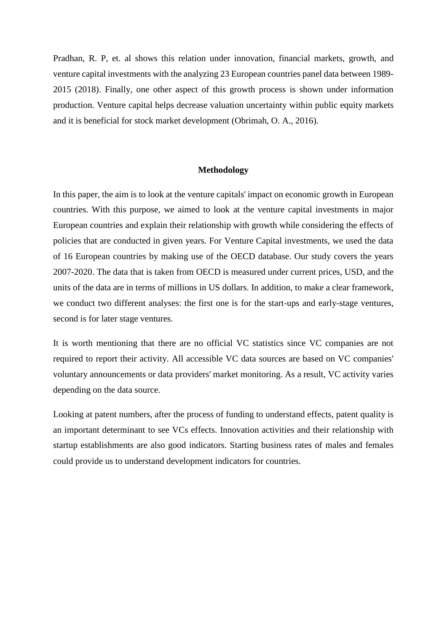Pradhan, R. P, et. al shows this relation under innovation, financial markets, growth, and venture capital investments with the analyzing 23 European countries panel data between 1989- 2015 (2018). Finally, one other aspect of this growth process is shown under information production. Venture capital helps decrease valuation uncertainty within public equity markets and it is beneficial for stock market development (Obrimah, O. A., 2016).

#### **Methodology**

In this paper, the aim is to look at the venture capitals' impact on economic growth in European countries. With this purpose, we aimed to look at the venture capital investments in major European countries and explain their relationship with growth while considering the effects of policies that are conducted in given years. For Venture Capital investments, we used the data of 16 European countries by making use of the OECD database. Our study covers the years 2007-2020. The data that is taken from OECD is measured under current prices, USD, and the units of the data are in terms of millions in US dollars. In addition, to make a clear framework, we conduct two different analyses: the first one is for the start-ups and early-stage ventures, second is for later stage ventures.

It is worth mentioning that there are no official VC statistics since VC companies are not required to report their activity. All accessible VC data sources are based on VC companies' voluntary announcements or data providers' market monitoring. As a result, VC activity varies depending on the data source.

Looking at patent numbers, after the process of funding to understand effects, patent quality is an important determinant to see VCs effects. Innovation activities and their relationship with startup establishments are also good indicators. Starting business rates of males and females could provide us to understand development indicators for countries.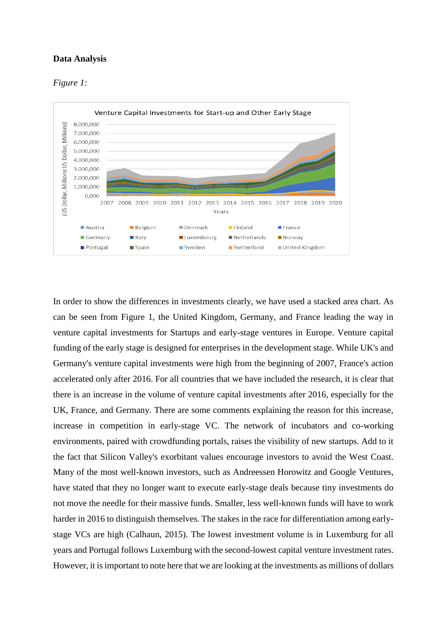## **Data Analysis**





In order to show the differences in investments clearly, we have used a stacked area chart. As can be seen from Figure 1, the United Kingdom, Germany, and France leading the way in venture capital investments for Startups and early-stage ventures in Europe. Venture capital funding of the early stage is designed for enterprises in the development stage. While UK's and Germany's venture capital investments were high from the beginning of 2007, France's action accelerated only after 2016. For all countries that we have included the research, it is clear that there is an increase in the volume of venture capital investments after 2016, especially for the UK, France, and Germany. There are some comments explaining the reason for this increase, increase in competition in early-stage VC. The network of incubators and co-working environments, paired with crowdfunding portals, raises the visibility of new startups. Add to it the fact that Silicon Valley's exorbitant values encourage investors to avoid the West Coast. Many of the most well-known investors, such as Andreessen Horowitz and Google Ventures, have stated that they no longer want to execute early-stage deals because tiny investments do not move the needle for their massive funds. Smaller, less well-known funds will have to work harder in 2016 to distinguish themselves. The stakes in the race for differentiation among earlystage VCs are high (Calhaun, 2015). The lowest investment volume is in Luxemburg for all years and Portugal follows Luxemburg with the second-lowest capital venture investment rates. However, it is important to note here that we are looking at the investments as millions of dollars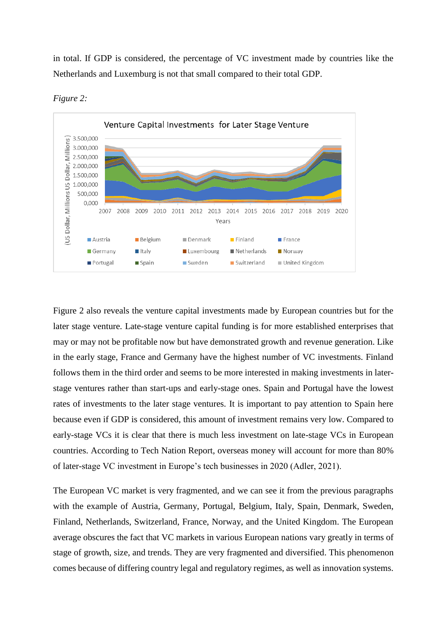in total. If GDP is considered, the percentage of VC investment made by countries like the Netherlands and Luxemburg is not that small compared to their total GDP.





Figure 2 also reveals the venture capital investments made by European countries but for the later stage venture. Late-stage venture capital funding is for more established enterprises that may or may not be profitable now but have demonstrated growth and revenue generation. Like in the early stage, France and Germany have the highest number of VC investments. Finland follows them in the third order and seems to be more interested in making investments in laterstage ventures rather than start-ups and early-stage ones. Spain and Portugal have the lowest rates of investments to the later stage ventures. It is important to pay attention to Spain here because even if GDP is considered, this amount of investment remains very low. Compared to early-stage VCs it is clear that there is much less investment on late-stage VCs in European countries. According to Tech Nation Report, overseas money will account for more than 80% of later-stage VC investment in Europe's tech businesses in 2020 (Adler, 2021).

The European VC market is very fragmented, and we can see it from the previous paragraphs with the example of Austria, Germany, Portugal, Belgium, Italy, Spain, Denmark, Sweden, Finland, Netherlands, Switzerland, France, Norway, and the United Kingdom. The European average obscures the fact that VC markets in various European nations vary greatly in terms of stage of growth, size, and trends. They are very fragmented and diversified. This phenomenon comes because of differing country legal and regulatory regimes, as well as innovation systems.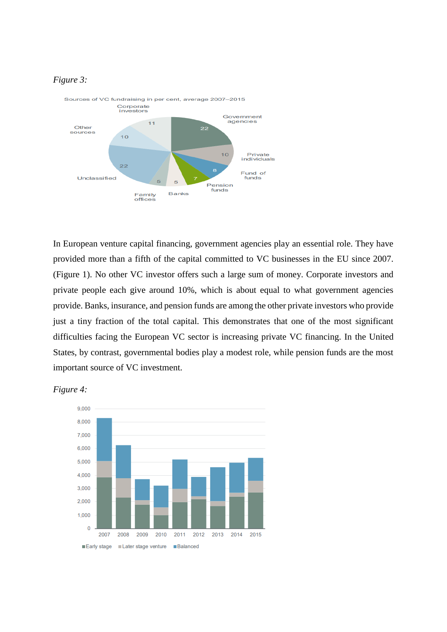## *Figure 3:*



In European venture capital financing, government agencies play an essential role. They have provided more than a fifth of the capital committed to VC businesses in the EU since 2007. (Figure 1). No other VC investor offers such a large sum of money. Corporate investors and private people each give around 10%, which is about equal to what government agencies provide. Banks, insurance, and pension funds are among the other private investors who provide just a tiny fraction of the total capital. This demonstrates that one of the most significant difficulties facing the European VC sector is increasing private VC financing. In the United States, by contrast, governmental bodies play a modest role, while pension funds are the most important source of VC investment.



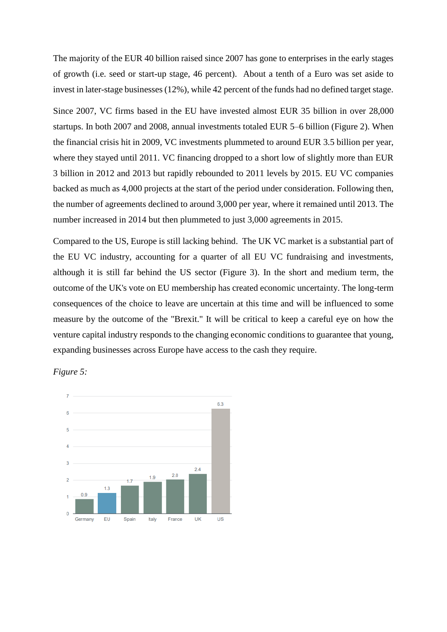The majority of the EUR 40 billion raised since 2007 has gone to enterprises in the early stages of growth (i.e. seed or start-up stage, 46 percent). About a tenth of a Euro was set aside to invest in later-stage businesses (12%), while 42 percent of the funds had no defined target stage.

Since 2007, VC firms based in the EU have invested almost EUR 35 billion in over 28,000 startups. In both 2007 and 2008, annual investments totaled EUR 5–6 billion (Figure 2). When the financial crisis hit in 2009, VC investments plummeted to around EUR 3.5 billion per year, where they stayed until 2011. VC financing dropped to a short low of slightly more than EUR 3 billion in 2012 and 2013 but rapidly rebounded to 2011 levels by 2015. EU VC companies backed as much as 4,000 projects at the start of the period under consideration. Following then, the number of agreements declined to around 3,000 per year, where it remained until 2013. The number increased in 2014 but then plummeted to just 3,000 agreements in 2015.

Compared to the US, Europe is still lacking behind. The UK VC market is a substantial part of the EU VC industry, accounting for a quarter of all EU VC fundraising and investments, although it is still far behind the US sector (Figure 3). In the short and medium term, the outcome of the UK's vote on EU membership has created economic uncertainty. The long-term consequences of the choice to leave are uncertain at this time and will be influenced to some measure by the outcome of the "Brexit." It will be critical to keep a careful eye on how the venture capital industry responds to the changing economic conditions to guarantee that young, expanding businesses across Europe have access to the cash they require.

*Figure 5:*

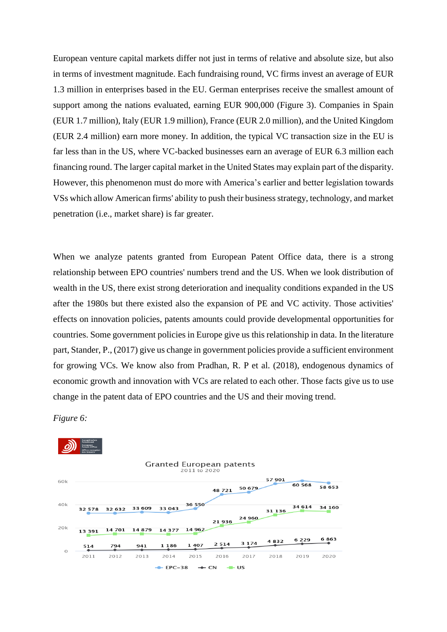European venture capital markets differ not just in terms of relative and absolute size, but also in terms of investment magnitude. Each fundraising round, VC firms invest an average of EUR 1.3 million in enterprises based in the EU. German enterprises receive the smallest amount of support among the nations evaluated, earning EUR 900,000 (Figure 3). Companies in Spain (EUR 1.7 million), Italy (EUR 1.9 million), France (EUR 2.0 million), and the United Kingdom (EUR 2.4 million) earn more money. In addition, the typical VC transaction size in the EU is far less than in the US, where VC-backed businesses earn an average of EUR 6.3 million each financing round. The larger capital market in the United States may explain part of the disparity. However, this phenomenon must do more with America's earlier and better legislation towards VSs which allow American firms' ability to push their business strategy, technology, and market penetration (i.e., market share) is far greater.

When we analyze patents granted from European Patent Office data, there is a strong relationship between EPO countries' numbers trend and the US. When we look distribution of wealth in the US, there exist strong deterioration and inequality conditions expanded in the US after the 1980s but there existed also the expansion of PE and VC activity. Those activities' effects on innovation policies, patents amounts could provide developmental opportunities for countries. Some government policies in Europe give us this relationship in data. In the literature part, Stander, P., (2017) give us change in government policies provide a sufficient environment for growing VCs. We know also from Pradhan, R. P et al. (2018), endogenous dynamics of economic growth and innovation with VCs are related to each other. Those facts give us to use change in the patent data of EPO countries and the US and their moving trend.



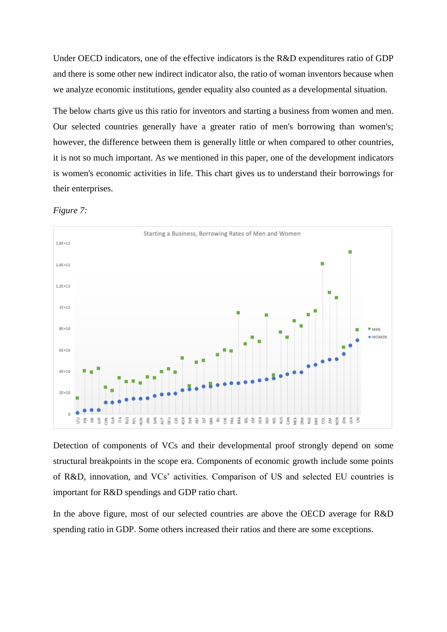Under OECD indicators, one of the effective indicators is the R&D expenditures ratio of GDP and there is some other new indirect indicator also, the ratio of woman inventors because when we analyze economic institutions, gender equality also counted as a developmental situation.

The below charts give us this ratio for inventors and starting a business from women and men. Our selected countries generally have a greater ratio of men's borrowing than women's; however, the difference between them is generally little or when compared to other countries, it is not so much important. As we mentioned in this paper, one of the development indicators is women's economic activities in life. This chart gives us to understand their borrowings for their enterprises.



*Figure 7:*

Detection of components of VCs and their developmental proof strongly depend on some structural breakpoints in the scope era. Components of economic growth include some points of R&D, innovation, and VCs' activities. Comparison of US and selected EU countries is important for R&D spendings and GDP ratio chart.

In the above figure, most of our selected countries are above the OECD average for R&D spending ratio in GDP. Some others increased their ratios and there are some exceptions.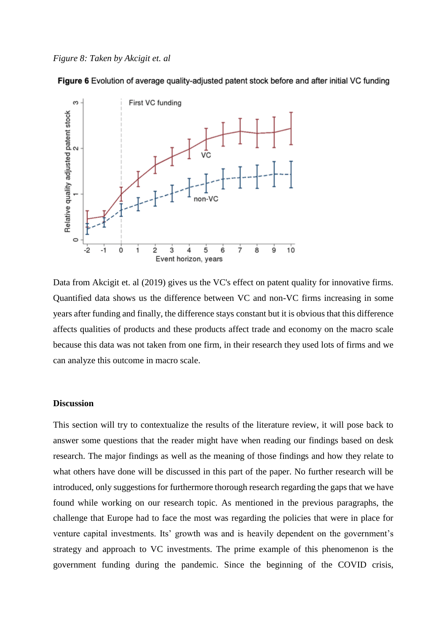Figure 6 Evolution of average quality-adiusted patent stock before and after initial VC funding



Data from Akcigit et. al (2019) gives us the VC's effect on patent quality for innovative firms. Quantified data shows us the difference between VC and non-VC firms increasing in some years after funding and finally, the difference stays constant but it is obvious that this difference affects qualities of products and these products affect trade and economy on the macro scale because this data was not taken from one firm, in their research they used lots of firms and we can analyze this outcome in macro scale.

#### **Discussion**

This section will try to contextualize the results of the literature review, it will pose back to answer some questions that the reader might have when reading our findings based on desk research. The major findings as well as the meaning of those findings and how they relate to what others have done will be discussed in this part of the paper. No further research will be introduced, only suggestions for furthermore thorough research regarding the gaps that we have found while working on our research topic. As mentioned in the previous paragraphs, the challenge that Europe had to face the most was regarding the policies that were in place for venture capital investments. Its' growth was and is heavily dependent on the government's strategy and approach to VC investments. The prime example of this phenomenon is the government funding during the pandemic. Since the beginning of the COVID crisis,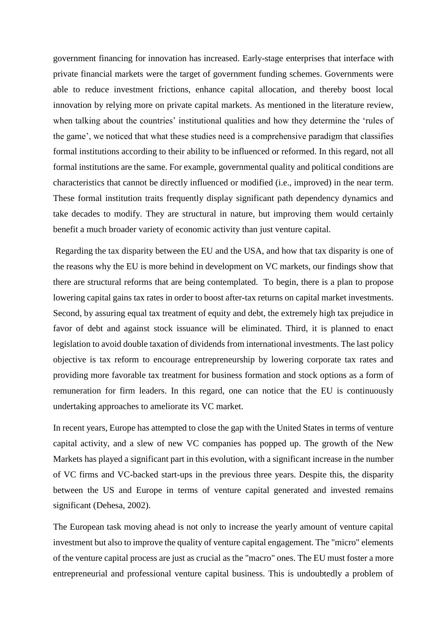government financing for innovation has increased. Early-stage enterprises that interface with private financial markets were the target of government funding schemes. Governments were able to reduce investment frictions, enhance capital allocation, and thereby boost local innovation by relying more on private capital markets. As mentioned in the literature review, when talking about the countries' institutional qualities and how they determine the 'rules of the game', we noticed that what these studies need is a comprehensive paradigm that classifies formal institutions according to their ability to be influenced or reformed. In this regard, not all formal institutions are the same. For example, governmental quality and political conditions are characteristics that cannot be directly influenced or modified (i.e., improved) in the near term. These formal institution traits frequently display significant path dependency dynamics and take decades to modify. They are structural in nature, but improving them would certainly benefit a much broader variety of economic activity than just venture capital.

Regarding the tax disparity between the EU and the USA, and how that tax disparity is one of the reasons why the EU is more behind in development on VC markets, our findings show that there are structural reforms that are being contemplated. To begin, there is a plan to propose lowering capital gains tax rates in order to boost after-tax returns on capital market investments. Second, by assuring equal tax treatment of equity and debt, the extremely high tax prejudice in favor of debt and against stock issuance will be eliminated. Third, it is planned to enact legislation to avoid double taxation of dividends from international investments. The last policy objective is tax reform to encourage entrepreneurship by lowering corporate tax rates and providing more favorable tax treatment for business formation and stock options as a form of remuneration for firm leaders. In this regard, one can notice that the EU is continuously undertaking approaches to ameliorate its VC market.

In recent years, Europe has attempted to close the gap with the United States in terms of venture capital activity, and a slew of new VC companies has popped up. The growth of the New Markets has played a significant part in this evolution, with a significant increase in the number of VC firms and VC-backed start-ups in the previous three years. Despite this, the disparity between the US and Europe in terms of venture capital generated and invested remains significant (Dehesa, 2002).

The European task moving ahead is not only to increase the yearly amount of venture capital investment but also to improve the quality of venture capital engagement. The "micro" elements of the venture capital process are just as crucial as the "macro" ones. The EU must foster a more entrepreneurial and professional venture capital business. This is undoubtedly a problem of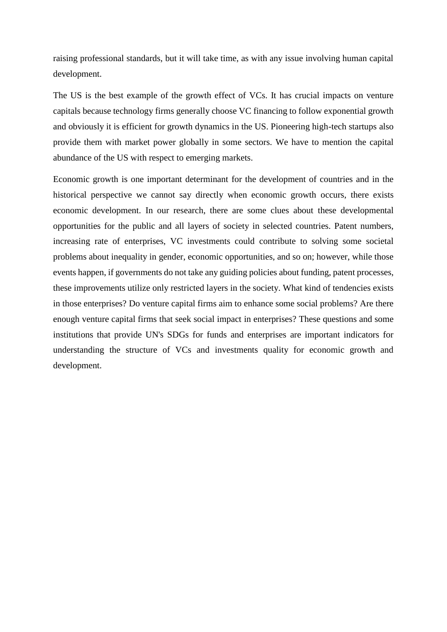raising professional standards, but it will take time, as with any issue involving human capital development.

The US is the best example of the growth effect of VCs. It has crucial impacts on venture capitals because technology firms generally choose VC financing to follow exponential growth and obviously it is efficient for growth dynamics in the US. Pioneering high-tech startups also provide them with market power globally in some sectors. We have to mention the capital abundance of the US with respect to emerging markets.

Economic growth is one important determinant for the development of countries and in the historical perspective we cannot say directly when economic growth occurs, there exists economic development. In our research, there are some clues about these developmental opportunities for the public and all layers of society in selected countries. Patent numbers, increasing rate of enterprises, VC investments could contribute to solving some societal problems about inequality in gender, economic opportunities, and so on; however, while those events happen, if governments do not take any guiding policies about funding, patent processes, these improvements utilize only restricted layers in the society. What kind of tendencies exists in those enterprises? Do venture capital firms aim to enhance some social problems? Are there enough venture capital firms that seek social impact in enterprises? These questions and some institutions that provide UN's SDGs for funds and enterprises are important indicators for understanding the structure of VCs and investments quality for economic growth and development.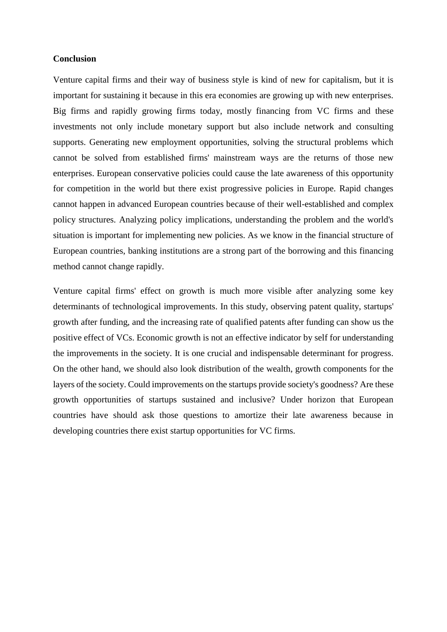## **Conclusion**

Venture capital firms and their way of business style is kind of new for capitalism, but it is important for sustaining it because in this era economies are growing up with new enterprises. Big firms and rapidly growing firms today, mostly financing from VC firms and these investments not only include monetary support but also include network and consulting supports. Generating new employment opportunities, solving the structural problems which cannot be solved from established firms' mainstream ways are the returns of those new enterprises. European conservative policies could cause the late awareness of this opportunity for competition in the world but there exist progressive policies in Europe. Rapid changes cannot happen in advanced European countries because of their well-established and complex policy structures. Analyzing policy implications, understanding the problem and the world's situation is important for implementing new policies. As we know in the financial structure of European countries, banking institutions are a strong part of the borrowing and this financing method cannot change rapidly.

Venture capital firms' effect on growth is much more visible after analyzing some key determinants of technological improvements. In this study, observing patent quality, startups' growth after funding, and the increasing rate of qualified patents after funding can show us the positive effect of VCs. Economic growth is not an effective indicator by self for understanding the improvements in the society. It is one crucial and indispensable determinant for progress. On the other hand, we should also look distribution of the wealth, growth components for the layers of the society. Could improvements on the startups provide society's goodness? Are these growth opportunities of startups sustained and inclusive? Under horizon that European countries have should ask those questions to amortize their late awareness because in developing countries there exist startup opportunities for VC firms.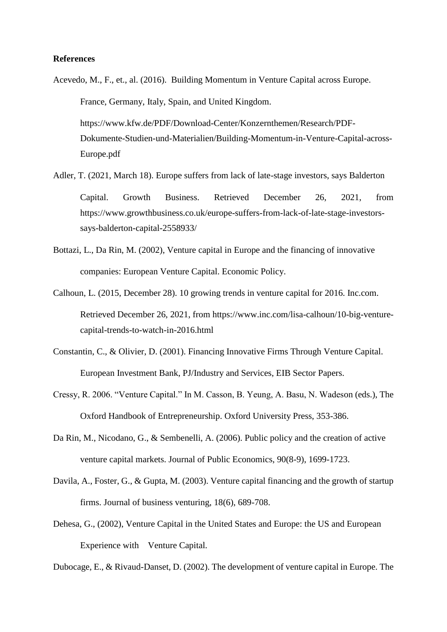### **References**

Acevedo, M., F., et., al. (2016). Building Momentum in Venture Capital across Europe.

France, Germany, Italy, Spain, and United Kingdom.

https://www.kfw.de/PDF/Download-Center/Konzernthemen/Research/PDF-Dokumente-Studien-und-Materialien/Building-Momentum-in-Venture-Capital-across-Europe.pdf

- Adler, T. (2021, March 18). Europe suffers from lack of late-stage investors, says Balderton Capital. Growth Business. Retrieved December 26, 2021, from https://www.growthbusiness.co.uk/europe-suffers-from-lack-of-late-stage-investorssays-balderton-capital-2558933/
- Bottazi, L., Da Rin, M. (2002), Venture capital in Europe and the financing of innovative companies: European Venture Capital. Economic Policy.
- Calhoun, L. (2015, December 28). 10 growing trends in venture capital for 2016. Inc.com. Retrieved December 26, 2021, from https://www.inc.com/lisa-calhoun/10-big-venturecapital-trends-to-watch-in-2016.html
- Constantin, C., & Olivier, D. (2001). Financing Innovative Firms Through Venture Capital. European Investment Bank, PJ/Industry and Services, EIB Sector Papers.
- Cressy, R. 2006. "Venture Capital." In M. Casson, B. Yeung, A. Basu, N. Wadeson (eds.), The Oxford Handbook of Entrepreneurship. Oxford University Press, 353-386.
- Da Rin, M., Nicodano, G., & Sembenelli, A. (2006). Public policy and the creation of active venture capital markets. Journal of Public Economics, 90(8-9), 1699-1723.
- Davila, A., Foster, G., & Gupta, M. (2003). Venture capital financing and the growth of startup firms. Journal of business venturing, 18(6), 689-708.
- Dehesa, G., (2002), Venture Capital in the United States and Europe: the US and European Experience with Venture Capital.

Dubocage, E., & Rivaud-Danset, D. (2002). The development of venture capital in Europe. The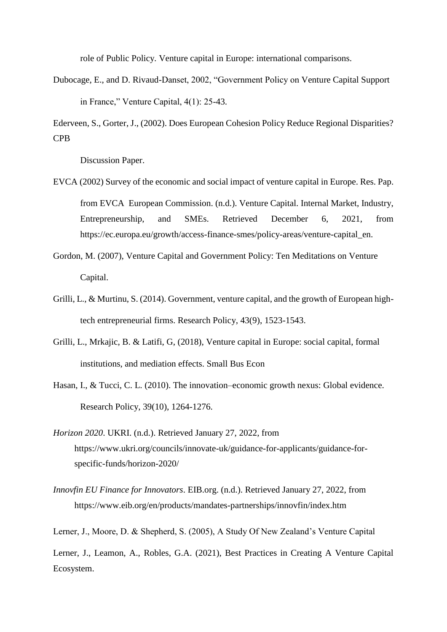role of Public Policy. Venture capital in Europe: international comparisons.

Dubocage, E., and D. Rivaud-Danset, 2002, "Government Policy on Venture Capital Support in France," Venture Capital, 4(1): 25-43.

Ederveen, S., Gorter, J., (2002). Does European Cohesion Policy Reduce Regional Disparities? CPB

Discussion Paper.

- EVCA (2002) Survey of the economic and social impact of venture capital in Europe. Res. Pap. from EVCA European Commission. (n.d.). Venture Capital. Internal Market, Industry, Entrepreneurship, and SMEs. Retrieved December 6, 2021, from https://ec.europa.eu/growth/access-finance-smes/policy-areas/venture-capital\_en.
- Gordon, M. (2007), Venture Capital and Government Policy: Ten Meditations on Venture Capital.
- Grilli, L., & Murtinu, S. (2014). Government, venture capital, and the growth of European hightech entrepreneurial firms. Research Policy, 43(9), 1523-1543.
- Grilli, L., Mrkajic, B. & Latifi, G, (2018), Venture capital in Europe: social capital, formal institutions, and mediation effects. Small Bus Econ
- Hasan, I., & Tucci, C. L. (2010). The innovation–economic growth nexus: Global evidence. Research Policy, 39(10), 1264-1276.
- *Horizon 2020*. UKRI. (n.d.). Retrieved January 27, 2022, from https://www.ukri.org/councils/innovate-uk/guidance-for-applicants/guidance-forspecific-funds/horizon-2020/
- *Innovfin EU Finance for Innovators*. EIB.org. (n.d.). Retrieved January 27, 2022, from https://www.eib.org/en/products/mandates-partnerships/innovfin/index.htm

Lerner, J., Moore, D. & Shepherd, S. (2005), A Study Of New Zealand's Venture Capital

Lerner, J., Leamon, A., Robles, G.A. (2021), Best Practices in Creating A Venture Capital Ecosystem.